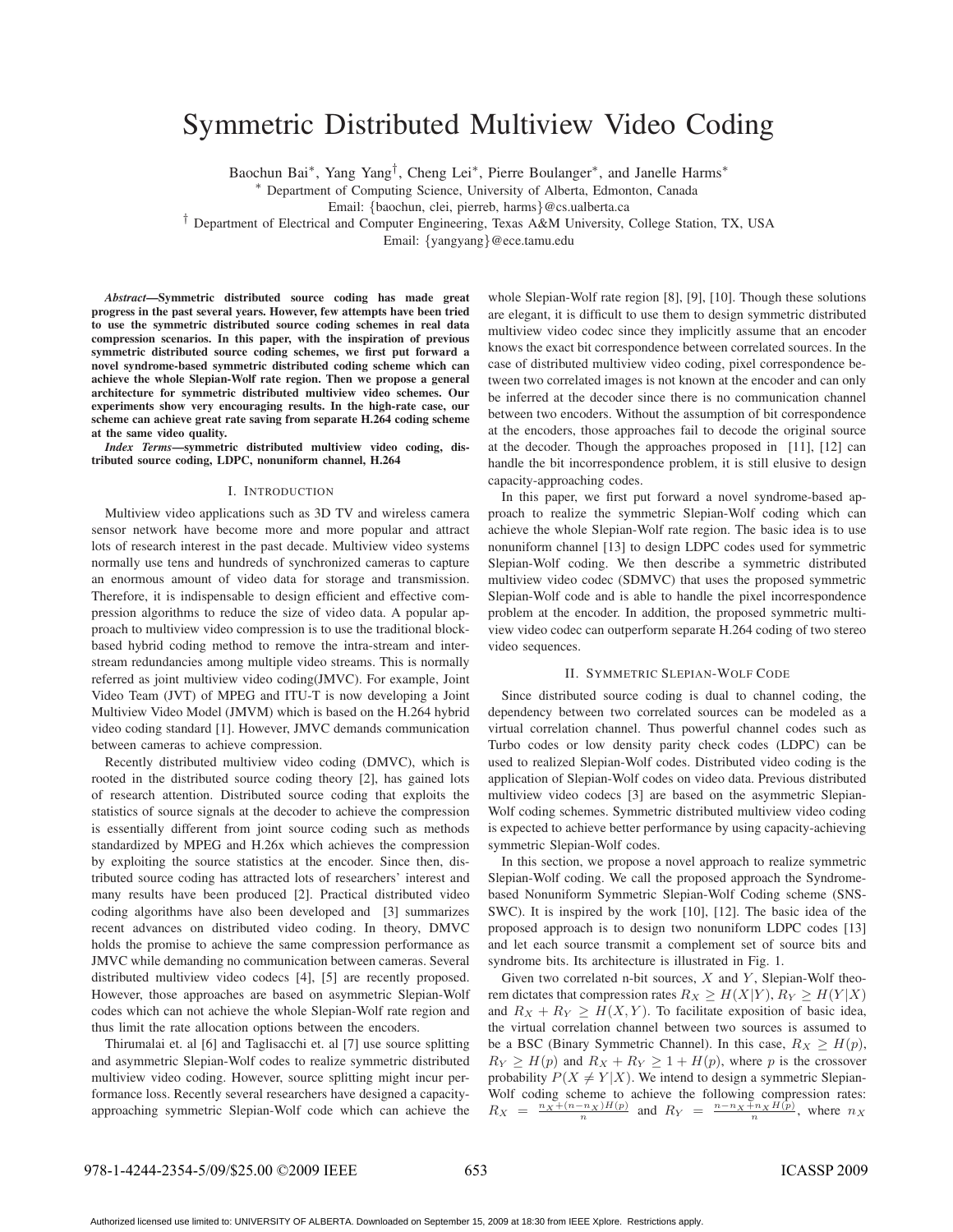# Symmetric Distributed Multiview Video Coding

Baochun Bai∗, Yang Yang†, Cheng Lei∗, Pierre Boulanger∗, and Janelle Harms<sup>∗</sup>

<sup>∗</sup> Department of Computing Science, University of Alberta, Edmonton, Canada

Email: {baochun, clei, pierreb, harms}@cs.ualberta.ca

† Department of Electrical and Computer Engineering, Texas A&M University, College Station, TX, USA

Email: {yangyang}@ece.tamu.edu

*Abstract***—Symmetric distributed source coding has made great progress in the past several years. However, few attempts have been tried to use the symmetric distributed source coding schemes in real data compression scenarios. In this paper, with the inspiration of previous symmetric distributed source coding schemes, we first put forward a novel syndrome-based symmetric distributed coding scheme which can achieve the whole Slepian-Wolf rate region. Then we propose a general architecture for symmetric distributed multiview video schemes. Our experiments show very encouraging results. In the high-rate case, our scheme can achieve great rate saving from separate H.264 coding scheme at the same video quality.**

*Index Terms***—symmetric distributed multiview video coding, distributed source coding, LDPC, nonuniform channel, H.264**

#### I. INTRODUCTION

Multiview video applications such as 3D TV and wireless camera sensor network have become more and more popular and attract lots of research interest in the past decade. Multiview video systems normally use tens and hundreds of synchronized cameras to capture an enormous amount of video data for storage and transmission. Therefore, it is indispensable to design efficient and effective compression algorithms to reduce the size of video data. A popular approach to multiview video compression is to use the traditional blockbased hybrid coding method to remove the intra-stream and interstream redundancies among multiple video streams. This is normally referred as joint multiview video coding(JMVC). For example, Joint Video Team (JVT) of MPEG and ITU-T is now developing a Joint Multiview Video Model (JMVM) which is based on the H.264 hybrid video coding standard [1]. However, JMVC demands communication between cameras to achieve compression.

Recently distributed multiview video coding (DMVC), which is rooted in the distributed source coding theory [2], has gained lots of research attention. Distributed source coding that exploits the statistics of source signals at the decoder to achieve the compression is essentially different from joint source coding such as methods standardized by MPEG and H.26x which achieves the compression by exploiting the source statistics at the encoder. Since then, distributed source coding has attracted lots of researchers' interest and many results have been produced [2]. Practical distributed video coding algorithms have also been developed and [3] summarizes recent advances on distributed video coding. In theory, DMVC holds the promise to achieve the same compression performance as JMVC while demanding no communication between cameras. Several distributed multiview video codecs [4], [5] are recently proposed. However, those approaches are based on asymmetric Slepian-Wolf codes which can not achieve the whole Slepian-Wolf rate region and thus limit the rate allocation options between the encoders.

Thirumalai et. al [6] and Taglisacchi et. al [7] use source splitting and asymmetric Slepian-Wolf codes to realize symmetric distributed multiview video coding. However, source splitting might incur performance loss. Recently several researchers have designed a capacityapproaching symmetric Slepian-Wolf code which can achieve the

whole Slepian-Wolf rate region [8], [9], [10]. Though these solutions are elegant, it is difficult to use them to design symmetric distributed multiview video codec since they implicitly assume that an encoder knows the exact bit correspondence between correlated sources. In the case of distributed multiview video coding, pixel correspondence between two correlated images is not known at the encoder and can only be inferred at the decoder since there is no communication channel between two encoders. Without the assumption of bit correspondence at the encoders, those approaches fail to decode the original source at the decoder. Though the approaches proposed in [11], [12] can handle the bit incorrespondence problem, it is still elusive to design capacity-approaching codes.

In this paper, we first put forward a novel syndrome-based approach to realize the symmetric Slepian-Wolf coding which can achieve the whole Slepian-Wolf rate region. The basic idea is to use nonuniform channel [13] to design LDPC codes used for symmetric Slepian-Wolf coding. We then describe a symmetric distributed multiview video codec (SDMVC) that uses the proposed symmetric Slepian-Wolf code and is able to handle the pixel incorrespondence problem at the encoder. In addition, the proposed symmetric multiview video codec can outperform separate H.264 coding of two stereo video sequences.

## II. SYMMETRIC SLEPIAN-WOLF CODE

Since distributed source coding is dual to channel coding, the dependency between two correlated sources can be modeled as a virtual correlation channel. Thus powerful channel codes such as Turbo codes or low density parity check codes (LDPC) can be used to realized Slepian-Wolf codes. Distributed video coding is the application of Slepian-Wolf codes on video data. Previous distributed multiview video codecs [3] are based on the asymmetric Slepian-Wolf coding schemes. Symmetric distributed multiview video coding is expected to achieve better performance by using capacity-achieving symmetric Slepian-Wolf codes.

In this section, we propose a novel approach to realize symmetric Slepian-Wolf coding. We call the proposed approach the Syndromebased Nonuniform Symmetric Slepian-Wolf Coding scheme (SNS-SWC). It is inspired by the work [10], [12]. The basic idea of the proposed approach is to design two nonuniform LDPC codes [13] and let each source transmit a complement set of source bits and syndrome bits. Its architecture is illustrated in Fig. 1.

Given two correlated n-bit sources,  $X$  and  $Y$ , Slepian-Wolf theorem dictates that compression rates  $R_X \ge H(X|Y), R_Y \ge H(Y|X)$ and  $R_X + R_Y \geq H(X, Y)$ . To facilitate exposition of basic idea, the virtual correlation channel between two sources is assumed to be a BSC (Binary Symmetric Channel). In this case,  $R_X \geq H(p)$ ,  $R_Y \ge H(p)$  and  $R_X + R_Y \ge 1 + H(p)$ , where p is the crossover probability  $P(X \neq Y | X)$ . We intend to design a symmetric Slepian-Wolf coding scheme to achieve the following compression rates:  $R_X = \frac{n_X + (n - n_X)H(p)}{n}$  and  $R_Y = \frac{n - n_X + n_XH(p)}{n}$ , where  $n_X$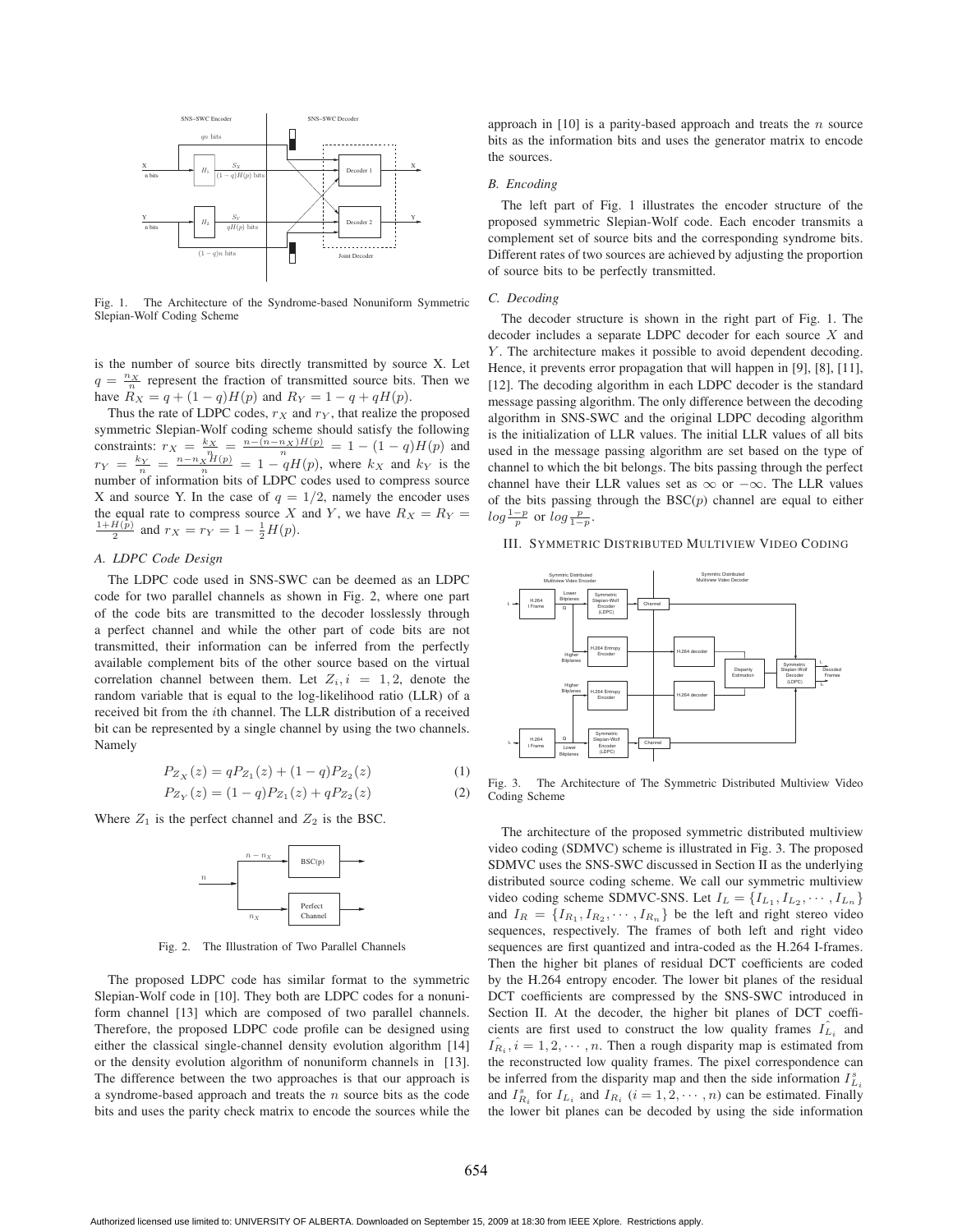

Fig. 1. The Architecture of the Syndrome-based Nonuniform Symmetric Slepian-Wolf Coding Scheme

is the number of source bits directly transmitted by source X. Let  $q = \frac{n_X}{n}$  represent the fraction of transmitted source bits. Then we have  $R_X = q + (1 - q)H(p)$  and  $R_Y = 1 - q + qH(p)$ .

Thus the rate of LDPC codes,  $r_X$  and  $r_Y$ , that realize the proposed symmetric Slepian-Wolf coding scheme should satisfy the following constraints:  $r_X = \frac{k_X}{n_{X}} = \frac{n - (n - n_X)H(p)}{n} = 1 - (1 - q)H(p)$  and  $r_Y = \frac{k_Y}{n} = \frac{n - n_X H(p)}{n} = 1 - qH(p)$ , where  $k_X$  and  $k_Y$  is the number of information bits of LDPC codes used to compress source X and source Y. In the case of  $q = 1/2$ , namely the encoder uses the equal rate to compress source X and Y, we have  $R_X = R_Y =$  $\frac{H(p)}{2}$  and  $r_X = r_Y = 1 - \frac{1}{2}H(p)$ .

## *A. LDPC Code Design*

The LDPC code used in SNS-SWC can be deemed as an LDPC code for two parallel channels as shown in Fig. 2, where one part of the code bits are transmitted to the decoder losslessly through a perfect channel and while the other part of code bits are not transmitted, their information can be inferred from the perfectly available complement bits of the other source based on the virtual correlation channel between them. Let  $Z_i$ ,  $i = 1, 2$ , denote the random variable that is equal to the log-likelihood ratio (LLR) of a received bit from the ith channel. The LLR distribution of a received bit can be represented by a single channel by using the two channels. Namely

$$
P_{Z_X}(z) = qP_{Z_1}(z) + (1-q)P_{Z_2}(z)
$$
\n(1)

$$
P_{Z_Y}(z) = (1 - q)P_{Z_1}(z) + qP_{Z_2}(z)
$$
\n(2)

Where  $Z_1$  is the perfect channel and  $Z_2$  is the BSC.



Fig. 2. The Illustration of Two Parallel Channels

The proposed LDPC code has similar format to the symmetric Slepian-Wolf code in [10]. They both are LDPC codes for a nonuniform channel [13] which are composed of two parallel channels. Therefore, the proposed LDPC code profile can be designed using either the classical single-channel density evolution algorithm [14] or the density evolution algorithm of nonuniform channels in [13]. The difference between the two approaches is that our approach is a syndrome-based approach and treats the  $n$  source bits as the code bits and uses the parity check matrix to encode the sources while the

approach in  $[10]$  is a parity-based approach and treats the *n* source bits as the information bits and uses the generator matrix to encode the sources.

## *B. Encoding*

The left part of Fig. 1 illustrates the encoder structure of the proposed symmetric Slepian-Wolf code. Each encoder transmits a complement set of source bits and the corresponding syndrome bits. Different rates of two sources are achieved by adjusting the proportion of source bits to be perfectly transmitted.

#### *C. Decoding*

The decoder structure is shown in the right part of Fig. 1. The decoder includes a separate LDPC decoder for each source X and Y. The architecture makes it possible to avoid dependent decoding. Hence, it prevents error propagation that will happen in [9], [8], [11], [12]. The decoding algorithm in each LDPC decoder is the standard message passing algorithm. The only difference between the decoding algorithm in SNS-SWC and the original LDPC decoding algorithm is the initialization of LLR values. The initial LLR values of all bits used in the message passing algorithm are set based on the type of channel to which the bit belongs. The bits passing through the perfect channel have their LLR values set as  $\infty$  or  $-\infty$ . The LLR values of the bits passing through the  $BSC(p)$  channel are equal to either  $log\frac{1-p}{p}$  or  $log\frac{p}{1-p}$ .

## III. SYMMETRIC DISTRIBUTED MULTIVIEW VIDEO CODING



Fig. 3. The Architecture of The Symmetric Distributed Multiview Video Coding Scheme

The architecture of the proposed symmetric distributed multiview video coding (SDMVC) scheme is illustrated in Fig. 3. The proposed SDMVC uses the SNS-SWC discussed in Section II as the underlying distributed source coding scheme. We call our symmetric multiview video coding scheme SDMVC-SNS. Let  $I_L = \{I_{L_1}, I_{L_2}, \cdots, I_{L_n}\}\$ and  $I_R = \{I_{R_1}, I_{R_2}, \cdots, I_{R_n}\}\$  be the left and right stereo video sequences, respectively. The frames of both left and right video sequences are first quantized and intra-coded as the H.264 I-frames. Then the higher bit planes of residual DCT coefficients are coded by the H.264 entropy encoder. The lower bit planes of the residual DCT coefficients are compressed by the SNS-SWC introduced in Section II. At the decoder, the higher bit planes of DCT coefficients are first used to construct the low quality frames  $\hat{I}_{L_i}$  and  $I_{R_i}^{\hat{}}$ ,  $i = 1, 2, \cdots, n$ . Then a rough disparity map is estimated from the reconstructed low quality frames. The pixel correspondence can be inferred from the disparity map and then the side information  $I_{L_i}^s$ and  $I_{R_i}^s$  for  $I_{L_i}$  and  $I_{R_i}$   $(i = 1, 2, \dots, n)$  can be estimated. Finally the lower bit planes can be decoded by using the side information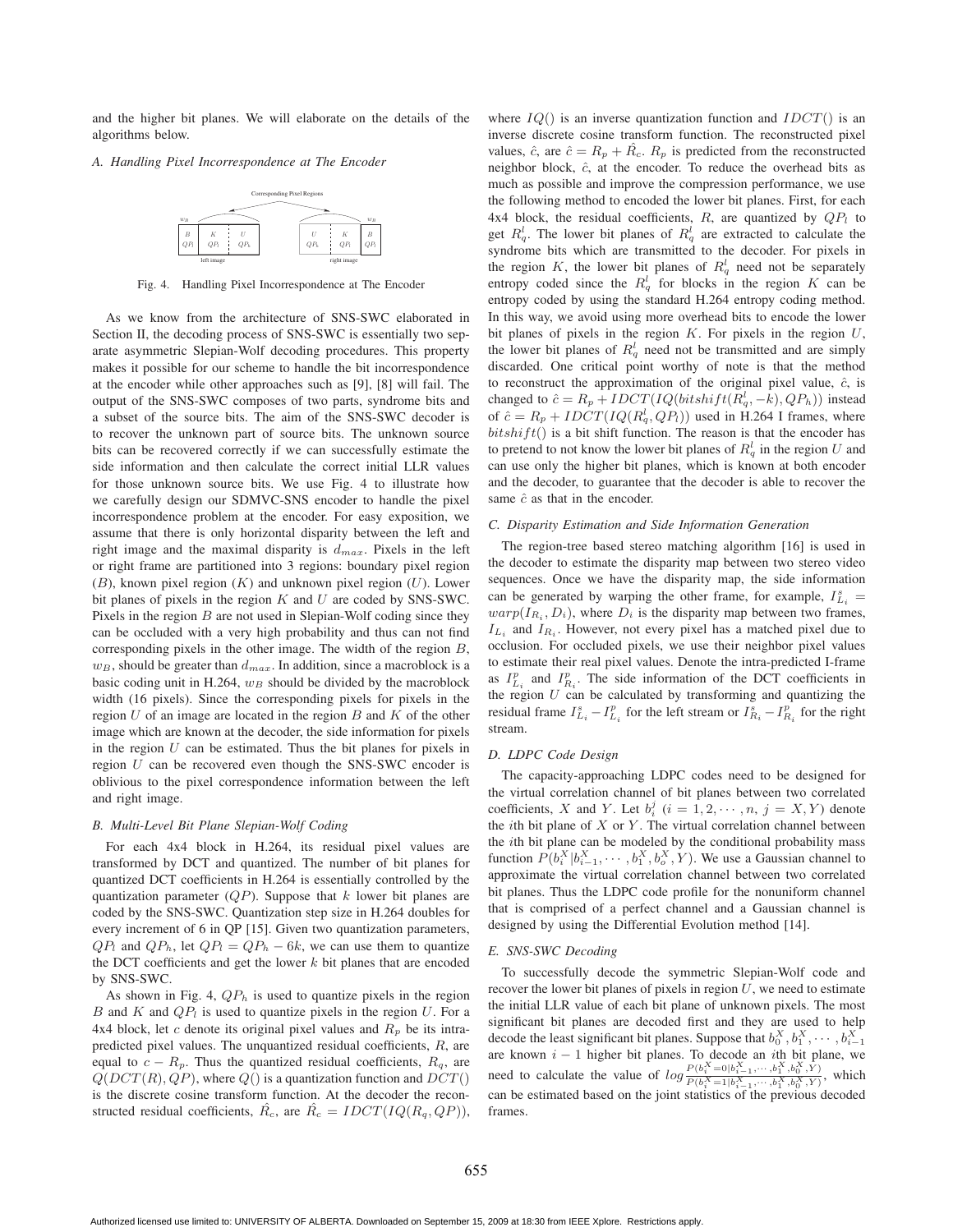and the higher bit planes. We will elaborate on the details of the algorithms below.

## *A. Handling Pixel Incorrespondence at The Encoder*



Fig. 4. Handling Pixel Incorrespondence at The Encoder

As we know from the architecture of SNS-SWC elaborated in Section II, the decoding process of SNS-SWC is essentially two separate asymmetric Slepian-Wolf decoding procedures. This property makes it possible for our scheme to handle the bit incorrespondence at the encoder while other approaches such as [9], [8] will fail. The output of the SNS-SWC composes of two parts, syndrome bits and a subset of the source bits. The aim of the SNS-SWC decoder is to recover the unknown part of source bits. The unknown source bits can be recovered correctly if we can successfully estimate the side information and then calculate the correct initial LLR values for those unknown source bits. We use Fig. 4 to illustrate how we carefully design our SDMVC-SNS encoder to handle the pixel incorrespondence problem at the encoder. For easy exposition, we assume that there is only horizontal disparity between the left and right image and the maximal disparity is  $d_{max}$ . Pixels in the left or right frame are partitioned into 3 regions: boundary pixel region  $(B)$ , known pixel region  $(K)$  and unknown pixel region  $(U)$ . Lower bit planes of pixels in the region  $K$  and  $U$  are coded by SNS-SWC. Pixels in the region  $B$  are not used in Slepian-Wolf coding since they can be occluded with a very high probability and thus can not find corresponding pixels in the other image. The width of the region  $B$ ,  $w_B$ , should be greater than  $d_{max}$ . In addition, since a macroblock is a basic coding unit in H.264,  $w_B$  should be divided by the macroblock width (16 pixels). Since the corresponding pixels for pixels in the region  $U$  of an image are located in the region  $B$  and  $K$  of the other image which are known at the decoder, the side information for pixels in the region  $U$  can be estimated. Thus the bit planes for pixels in region  $U$  can be recovered even though the SNS-SWC encoder is oblivious to the pixel correspondence information between the left and right image.

## *B. Multi-Level Bit Plane Slepian-Wolf Coding*

For each 4x4 block in H.264, its residual pixel values are transformed by DCT and quantized. The number of bit planes for quantized DCT coefficients in H.264 is essentially controlled by the quantization parameter  $(QP)$ . Suppose that k lower bit planes are coded by the SNS-SWC. Quantization step size in H.264 doubles for every increment of 6 in QP [15]. Given two quantization parameters,  $QP_l$  and  $QP_h$ , let  $QP_l = QP_h - 6k$ , we can use them to quantize the DCT coefficients and get the lower  $k$  bit planes that are encoded by SNS-SWC.

As shown in Fig. 4,  $QP<sub>h</sub>$  is used to quantize pixels in the region B and K and  $QP_l$  is used to quantize pixels in the region U. For a 4x4 block, let c denote its original pixel values and  $R_p$  be its intrapredicted pixel values. The unquantized residual coefficients, R, are equal to  $c - R_p$ . Thus the quantized residual coefficients,  $R_q$ , are  $Q(DCT(R), QP)$ , where  $Q()$  is a quantization function and  $DCT()$ is the discrete cosine transform function. At the decoder the reconstructed residual coefficients,  $R_c$ , are  $R_c = IDCT(IQ(R_q, QP)),$ 

where  $IQ()$  is an inverse quantization function and  $IDCT()$  is an inverse discrete cosine transform function. The reconstructed pixel values,  $\hat{c}$ , are  $\hat{c} = R_p + \hat{R}_c$ .  $R_p$  is predicted from the reconstructed neighbor block,  $\hat{c}$ , at the encoder. To reduce the overhead bits as much as possible and improve the compression performance, we use the following method to encoded the lower bit planes. First, for each 4x4 block, the residual coefficients, R, are quantized by  $QP<sub>l</sub>$  to get  $R_q^l$ . The lower bit planes of  $R_q^l$  are extracted to calculate the syndrome bits which are transmitted to the decoder. For pixels in the region K, the lower bit planes of  $R_q^l$  need not be separately entropy coded since the  $R_q^l$  for blocks in the region K can be entropy coded by using the standard H.264 entropy coding method. In this way, we avoid using more overhead bits to encode the lower bit planes of pixels in the region  $K$ . For pixels in the region  $U$ , the lower bit planes of  $R_q^l$  need not be transmitted and are simply discarded. One critical point worthy of note is that the method to reconstruct the approximation of the original pixel value,  $\hat{c}$ , is changed to  $\hat{c} = R_p + IDCT(IQ(bitshift(R_q^l, -k), QP_h))$  instead of  $\hat{c} = R_p + IDCT(IQ(R_q^l, QP_l))$  used in H.264 I frames, where  $bitshift()$  is a bit shift function. The reason is that the encoder has to pretend to not know the lower bit planes of  $R_q^l$  in the region U and can use only the higher bit planes, which is known at both encoder and the decoder, to guarantee that the decoder is able to recover the same  $\hat{c}$  as that in the encoder.

## *C. Disparity Estimation and Side Information Generation*

The region-tree based stereo matching algorithm [16] is used in the decoder to estimate the disparity map between two stereo video sequences. Once we have the disparity map, the side information can be generated by warping the other frame, for example,  $I_{L_i}^s =$  $warp(I_{R_i}, D_i)$ , where  $D_i$  is the disparity map between two frames,  $I_{L_i}$  and  $I_{R_i}$ . However, not every pixel has a matched pixel due to occlusion. For occluded pixels, we use their neighbor pixel values to estimate their real pixel values. Denote the intra-predicted I-frame as  $I_{L_i}^p$  and  $I_{R_i}^p$ . The side information of the DCT coefficients in the region  $U$  can be calculated by transforming and quantizing the residual frame  $I_{L_i}^s - I_{L_i}^p$  for the left stream or  $I_{R_i}^s - I_{R_i}^p$  for the right stream.

## *D. LDPC Code Design*

The capacity-approaching LDPC codes need to be designed for the virtual correlation channel of bit planes between two correlated coefficients, X and Y. Let  $b_i^j$   $(i = 1, 2, \dots, n, j = X, Y)$  denote the *i*th bit plane of  $X$  or  $Y$ . The virtual correlation channel between the ith bit plane can be modeled by the conditional probability mass function  $P(b_i^X | b_{i-1}^X, \dots, b_1^X, b_o^X, Y)$ . We use a Gaussian channel to approximate the virtual correlation channel between two correlated bit planes. Thus the LDPC code profile for the nonuniform channel that is comprised of a perfect channel and a Gaussian channel is designed by using the Differential Evolution method [14].

## *E. SNS-SWC Decoding*

To successfully decode the symmetric Slepian-Wolf code and recover the lower bit planes of pixels in region  $U$ , we need to estimate the initial LLR value of each bit plane of unknown pixels. The most significant bit planes are decoded first and they are used to help decode the least significant bit planes. Suppose that  $b_0^X, b_1^X, \dots, b_{i-1}^X$ are known  $i - 1$  higher bit planes. To decode an *i*th bit plane, we need to calculate the value of  $log \frac{P(b_i^X = 0 | b_{i-1}^X, \dots, b_1^X, b_0^X, Y)}{P(b_i^X = 1 | b_{i-1}^X, \dots, b_1^X, b_0^X, Y)}$ , which can be estimated based on the joint statistics of the previous decoded frames.